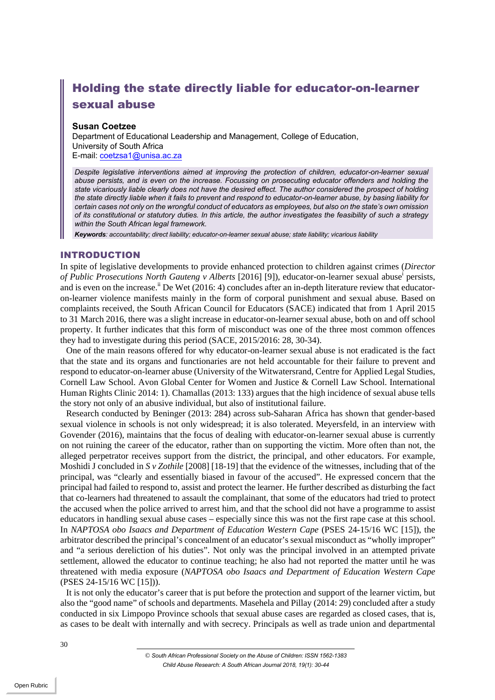# Holding the state directly liable for educator-on-learner sexual abuse

## **Susan Coetzee**

Department of Educational Leadership and Management, College of Education, University of South Africa E-mail: coetzsa1@unisa.ac.za

*Despite legislative interventions aimed at improving the protection of children, educator-on-learner sexual abuse persists, and is even on the increase. Focussing on prosecuting educator offenders and holding the state vicariously liable clearly does not have the desired effect. The author considered the prospect of holding the state directly liable when it fails to prevent and respond to educator-on-learner abuse, by basing liability for certain cases not only on the wrongful conduct of educators as employees, but also on the state's own omission of its constitutional or statutory duties. In this article, the author investigates the feasibility of such a strategy within the South African legal framework.*

*Keywords: accountability; direct liability; educator-on-learner sexual abuse; state liability; vicarious liability*

### INTRODUCTION

In spite of legislative developments to provide enhanced protection to children against crimes (*Director of Public Prosecutions North Gauteng v Alberts* [2016] [9]), educator-on-learner sexual abusei persists, and is even on the increase.<sup>ii</sup> De Wet (2016: 4) concludes after an in-depth literature review that educatoron-learner violence manifests mainly in the form of corporal punishment and sexual abuse. Based on complaints received, the South African Council for Educators (SACE) indicated that from 1 April 2015 to 31 March 2016, there was a slight increase in educator-on-learner sexual abuse, both on and off school property. It further indicates that this form of misconduct was one of the three most common offences they had to investigate during this period (SACE, 2015/2016: 28, 30-34).

One of the main reasons offered for why educator-on-learner sexual abuse is not eradicated is the fact that the state and its organs and functionaries are not held accountable for their failure to prevent and respond to educator-on-learner abuse (University of the Witwatersrand, Centre for Applied Legal Studies, Cornell Law School. Avon Global Center for Women and Justice & Cornell Law School. International Human Rights Clinic 2014: 1). Chamallas (2013: 133) argues that the high incidence of sexual abuse tells the story not only of an abusive individual, but also of institutional failure.

Research conducted by Beninger (2013: 284) across sub-Saharan Africa has shown that gender-based sexual violence in schools is not only widespread; it is also tolerated. Meyersfeld, in an interview with Govender (2016), maintains that the focus of dealing with educator-on-learner sexual abuse is currently on not ruining the career of the educator, rather than on supporting the victim. More often than not, the alleged perpetrator receives support from the district, the principal, and other educators. For example, Moshidi J concluded in *S v Zothile* [2008] [18-19] that the evidence of the witnesses, including that of the principal, was "clearly and essentially biased in favour of the accused". He expressed concern that the principal had failed to respond to, assist and protect the learner. He further described as disturbing the fact that co-learners had threatened to assault the complainant, that some of the educators had tried to protect the accused when the police arrived to arrest him, and that the school did not have a programme to assist educators in handling sexual abuse cases – especially since this was not the first rape case at this school. In *NAPTOSA obo Isaacs and Department of Education Western Cape* (PSES 24-15/16 WC [15]), the arbitrator described the principal's concealment of an educator's sexual misconduct as "wholly improper" and "a serious dereliction of his duties". Not only was the principal involved in an attempted private settlement, allowed the educator to continue teaching; he also had not reported the matter until he was threatened with media exposure (*NAPTOSA obo Isaacs and Department of Education Western Cape*  (PSES 24-15/16 WC [15])).

It is not only the educator's career that is put before the protection and support of the learner victim, but also the "good name" of schools and departments. Masehela and Pillay (2014: 29) concluded after a study conducted in six Limpopo Province schools that sexual abuse cases are regarded as closed cases, that is, as cases to be dealt with internally and with secrecy. Principals as well as trade union and departmental

*<sup>©</sup> South African Professional Society on the Abuse of Children: ISSN 1562-1383 Child Abuse Research: A South African Journal 2018, 19(1): 30-44*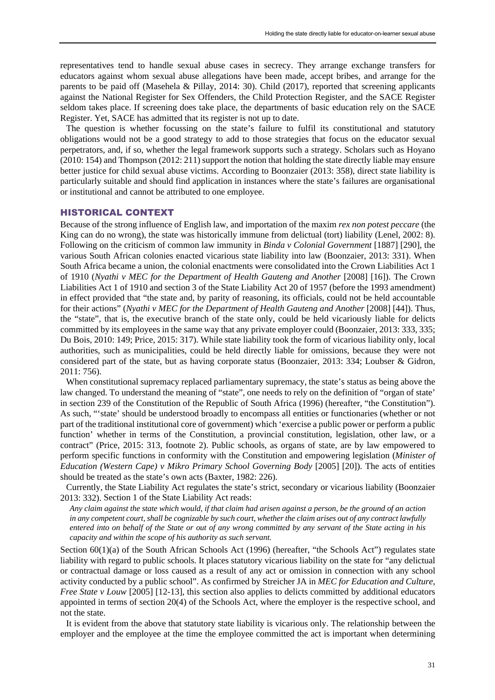representatives tend to handle sexual abuse cases in secrecy. They arrange exchange transfers for educators against whom sexual abuse allegations have been made, accept bribes, and arrange for the parents to be paid off (Masehela & Pillay, 2014: 30). Child (2017), reported that screening applicants against the National Register for Sex Offenders, the Child Protection Register, and the SACE Register seldom takes place. If screening does take place, the departments of basic education rely on the SACE Register. Yet, SACE has admitted that its register is not up to date.

The question is whether focussing on the state's failure to fulfil its constitutional and statutory obligations would not be a good strategy to add to those strategies that focus on the educator sexual perpetrators, and, if so, whether the legal framework supports such a strategy. Scholars such as Hoyano (2010: 154) and Thompson (2012: 211) support the notion that holding the state directly liable may ensure better justice for child sexual abuse victims. According to Boonzaier (2013: 358), direct state liability is particularly suitable and should find application in instances where the state's failures are organisational or institutional and cannot be attributed to one employee.

#### HISTORICAL CONTEXT

Because of the strong influence of English law, and importation of the maxim *rex non potest peccare* (the King can do no wrong), the state was historically immune from delictual (tort) liability (Lenel, 2002: 8). Following on the criticism of common law immunity in *Binda v Colonial Government* [1887] [290], the various South African colonies enacted vicarious state liability into law (Boonzaier, 2013: 331). When South Africa became a union, the colonial enactments were consolidated into the Crown Liabilities Act 1 of 1910 (*Nyathi v MEC for the Department of Health Gauteng and Another* [2008] [16]). The Crown Liabilities Act 1 of 1910 and section 3 of the State Liability Act 20 of 1957 (before the 1993 amendment) in effect provided that "the state and, by parity of reasoning, its officials, could not be held accountable for their actions" (*Nyathi v MEC for the Department of Health Gauteng and Another* [2008] [44]). Thus, the "state", that is, the executive branch of the state only, could be held vicariously liable for delicts committed by its employees in the same way that any private employer could (Boonzaier, 2013: 333, 335; Du Bois, 2010: 149; Price, 2015: 317). While state liability took the form of vicarious liability only, local authorities, such as municipalities, could be held directly liable for omissions, because they were not considered part of the state, but as having corporate status (Boonzaier, 2013: 334; Loubser & Gidron, 2011: 756).

When constitutional supremacy replaced parliamentary supremacy, the state's status as being above the law changed. To understand the meaning of "state", one needs to rely on the definition of "organ of state' in section 239 of the Constitution of the Republic of South Africa (1996) (hereafter, "the Constitution"). As such, "'state' should be understood broadly to encompass all entities or functionaries (whether or not part of the traditional institutional core of government) which 'exercise a public power or perform a public function' whether in terms of the Constitution, a provincial constitution, legislation, other law, or a contract" (Price, 2015: 313, footnote 2). Public schools, as organs of state, are by law empowered to perform specific functions in conformity with the Constitution and empowering legislation (*Minister of Education (Western Cape) v Mikro Primary School Governing Body* [2005] [20]). The acts of entities should be treated as the state's own acts (Baxter, 1982: 226).

Currently, the State Liability Act regulates the state's strict, secondary or vicarious liability (Boonzaier 2013: 332). Section 1 of the State Liability Act reads:

*Any claim against the state which would, if that claim had arisen against a person, be the ground of an action in any competent court, shall be cognizable by such court, whether the claim arises out of any contract lawfully entered into on behalf of the State or out of any wrong committed by any servant of the State acting in his capacity and within the scope of his authority as such servant.*

Section  $60(1)(a)$  of the South African Schools Act (1996) (hereafter, "the Schools Act") regulates state liability with regard to public schools. It places statutory vicarious liability on the state for "any delictual or contractual damage or loss caused as a result of any act or omission in connection with any school activity conducted by a public school". As confirmed by Streicher JA in *MEC for Education and Culture, Free State v Louw* [2005] [12-13], this section also applies to delicts committed by additional educators appointed in terms of section 20(4) of the Schools Act, where the employer is the respective school, and not the state.

It is evident from the above that statutory state liability is vicarious only. The relationship between the employer and the employee at the time the employee committed the act is important when determining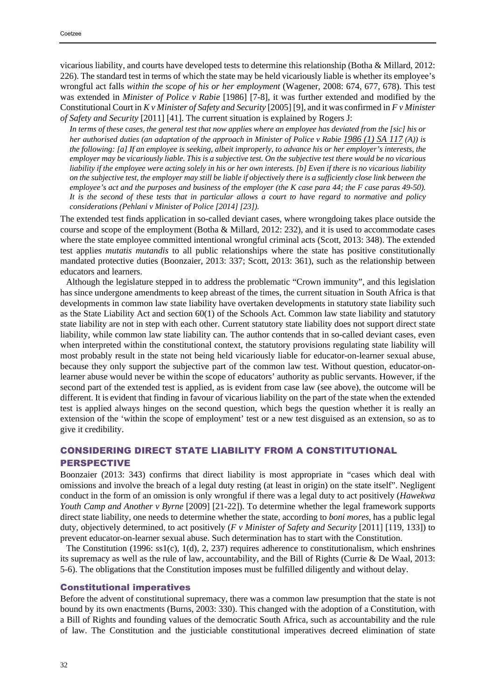vicarious liability, and courts have developed tests to determine this relationship (Botha & Millard, 2012: 226). The standard test in terms of which the state may be held vicariously liable is whether its employee's wrongful act falls *within the scope of his or her employment* (Wagener, 2008: 674, 677, 678). This test was extended in *Minister of Police v Rabie* [1986] [7-8], it was further extended and modified by the Constitutional Court in *K v Minister of Safety and Security* [2005] [9], and it was confirmed in *F v Minister of Safety and Security* [2011] [41]. The current situation is explained by Rogers J:

*In terms of these cases, the general test that now applies where an employee has deviated from the [sic] his or her authorised duties (an adaptation of the approach in Minister of Police v Rabie 1986 (1) SA 117 (A)) is the following: [a] If an employee is seeking, albeit improperly, to advance his or her employer's interests, the employer may be vicariously liable. This is a subjective test. On the subjective test there would be no vicarious liability if the employee were acting solely in his or her own interests. [b] Even if there is no vicarious liability on the subjective test, the employer may still be liable if objectively there is a sufficiently close link between the employee's act and the purposes and business of the employer (the K case para 44; the F case paras 49-50). It is the second of these tests that in particular allows a court to have regard to normative and policy considerations (Pehlani v Minister of Police [2014] [23]).*

The extended test finds application in so-called deviant cases, where wrongdoing takes place outside the course and scope of the employment (Botha & Millard, 2012: 232), and it is used to accommodate cases where the state employee committed intentional wrongful criminal acts (Scott, 2013: 348). The extended test applies *mutatis mutandis* to all public relationships where the state has positive constitutionally mandated protective duties (Boonzaier, 2013: 337; Scott, 2013: 361), such as the relationship between educators and learners.

Although the legislature stepped in to address the problematic "Crown immunity", and this legislation has since undergone amendments to keep abreast of the times, the current situation in South Africa is that developments in common law state liability have overtaken developments in statutory state liability such as the State Liability Act and section 60(1) of the Schools Act. Common law state liability and statutory state liability are not in step with each other. Current statutory state liability does not support direct state liability, while common law state liability can. The author contends that in so-called deviant cases, even when interpreted within the constitutional context, the statutory provisions regulating state liability will most probably result in the state not being held vicariously liable for educator-on-learner sexual abuse, because they only support the subjective part of the common law test. Without question, educator-onlearner abuse would never be within the scope of educators' authority as public servants. However, if the second part of the extended test is applied, as is evident from case law (see above), the outcome will be different. It is evident that finding in favour of vicarious liability on the part of the state when the extended test is applied always hinges on the second question, which begs the question whether it is really an extension of the 'within the scope of employment' test or a new test disguised as an extension, so as to give it credibility.

# CONSIDERING DIRECT STATE LIABILITY FROM A CONSTITUTIONAL PERSPECTIVE

Boonzaier (2013: 343) confirms that direct liability is most appropriate in "cases which deal with omissions and involve the breach of a legal duty resting (at least in origin) on the state itself". Negligent conduct in the form of an omission is only wrongful if there was a legal duty to act positively (*Hawekwa Youth Camp and Another v Byrne* [2009] [21-22]). To determine whether the legal framework supports direct state liability, one needs to determine whether the state, according to *boni mores*, has a public legal duty, objectively determined, to act positively (*F v Minister of Safety and Security* [2011] [119, 133]) to prevent educator-on-learner sexual abuse. Such determination has to start with the Constitution.

The Constitution (1996: ss1(c), 1(d), 2, 237) requires adherence to constitutionalism, which enshrines its supremacy as well as the rule of law, accountability, and the Bill of Rights (Currie & De Waal, 2013: 5-6). The obligations that the Constitution imposes must be fulfilled diligently and without delay.

#### Constitutional imperatives

Before the advent of constitutional supremacy, there was a common law presumption that the state is not bound by its own enactments (Burns, 2003: 330). This changed with the adoption of a Constitution, with a Bill of Rights and founding values of the democratic South Africa, such as accountability and the rule of law. The Constitution and the justiciable constitutional imperatives decreed elimination of state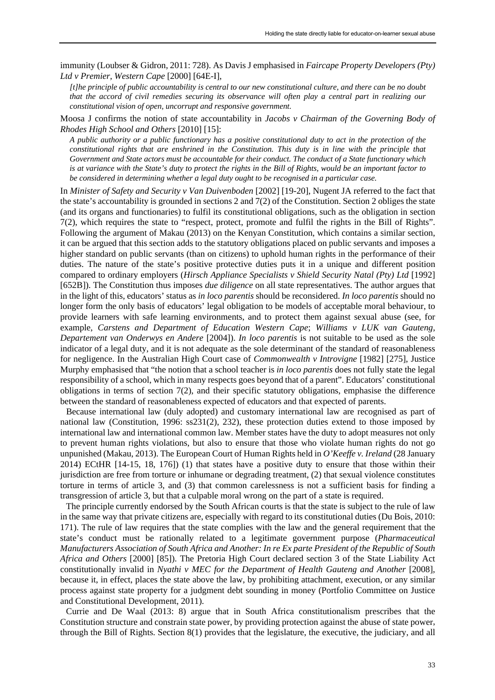immunity (Loubser & Gidron, 2011: 728). As Davis J emphasised in *Faircape Property Developers (Pty) Ltd v Premier, Western Cape* [2000] [64E-I],

*[t]he principle of public accountability is central to our new constitutional culture, and there can be no doubt that the accord of civil remedies securing its observance will often play a central part in realizing our constitutional vision of open, uncorrupt and responsive government.*

Moosa J confirms the notion of state accountability in *Jacobs v Chairman of the Governing Body of Rhodes High School and Others* [2010] [15]:

*A public authority or a public functionary has a positive constitutional duty to act in the protection of the constitutional rights that are enshrined in the Constitution. This duty is in line with the principle that Government and State actors must be accountable for their conduct. The conduct of a State functionary which is at variance with the State's duty to protect the rights in the Bill of Rights, would be an important factor to be considered in determining whether a legal duty ought to be recognised in a particular case.*

In *Minister of Safety and Security v Van Duivenboden* [2002] [19-20], Nugent JA referred to the fact that the state's accountability is grounded in sections 2 and 7(2) of the Constitution. Section 2 obliges the state (and its organs and functionaries) to fulfil its constitutional obligations, such as the obligation in section 7(2), which requires the state to "respect, protect, promote and fulfil the rights in the Bill of Rights". Following the argument of Makau (2013) on the Kenyan Constitution, which contains a similar section, it can be argued that this section adds to the statutory obligations placed on public servants and imposes a higher standard on public servants (than on citizens) to uphold human rights in the performance of their duties. The nature of the state's positive protective duties puts it in a unique and different position compared to ordinary employers (*Hirsch Appliance Specialists v Shield Security Natal (Pty) Ltd* [1992] [652B]). The Constitution thus imposes *due diligence* on all state representatives. The author argues that in the light of this, educators' status as *in loco parentis* should be reconsidered. *In loco parentis* should no longer form the only basis of educators' legal obligation to be models of acceptable moral behaviour, to provide learners with safe learning environments, and to protect them against sexual abuse (see, for example, *Carstens and Department of Education Western Cape*; *Williams v LUK van Gauteng, Departement van Onderwys en Andere* [2004]). *In loco parentis* is not suitable to be used as the sole indicator of a legal duty, and it is not adequate as the sole determinant of the standard of reasonableness for negligence. In the Australian High Court case of *Commonwealth v Introvigne* [1982] [275], Justice Murphy emphasised that "the notion that a school teacher is *in loco parentis* does not fully state the legal responsibility of a school, which in many respects goes beyond that of a parent". Educators' constitutional obligations in terms of section  $7(2)$ , and their specific statutory obligations, emphasise the difference between the standard of reasonableness expected of educators and that expected of parents.

Because international law (duly adopted) and customary international law are recognised as part of national law (Constitution, 1996: ss231(2), 232), these protection duties extend to those imposed by international law and international common law. Member states have the duty to adopt measures not only to prevent human rights violations, but also to ensure that those who violate human rights do not go unpunished (Makau, 2013). The European Court of Human Rights held in *O'Keeffe v. Ireland* (28 January 2014) ECtHR [14-15, 18, 176]) (1) that states have a positive duty to ensure that those within their jurisdiction are free from torture or inhumane or degrading treatment, (2) that sexual violence constitutes torture in terms of article 3, and (3) that common carelessness is not a sufficient basis for finding a transgression of article 3, but that a culpable moral wrong on the part of a state is required.

The principle currently endorsed by the South African courts is that the state is subject to the rule of law in the same way that private citizens are, especially with regard to its constitutional duties (Du Bois, 2010: 171). The rule of law requires that the state complies with the law and the general requirement that the state's conduct must be rationally related to a legitimate government purpose (*Pharmaceutical Manufacturers Association of South Africa and Another: In re Ex parte President of the Republic of South Africa and Others* [2000] [85]). The Pretoria High Court declared section 3 of the State Liability Act constitutionally invalid in *Nyathi v MEC for the Department of Health Gauteng and Another* [2008]*,* because it, in effect, places the state above the law, by prohibiting attachment, execution, or any similar process against state property for a judgment debt sounding in money (Portfolio Committee on Justice and Constitutional Development, 2011).

Currie and De Waal (2013: 8) argue that in South Africa constitutionalism prescribes that the Constitution structure and constrain state power, by providing protection against the abuse of state power, through the Bill of Rights. Section 8(1) provides that the legislature, the executive, the judiciary, and all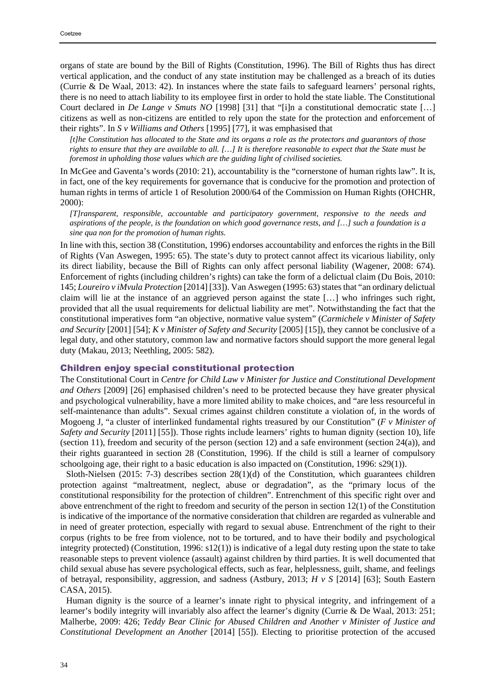organs of state are bound by the Bill of Rights (Constitution, 1996). The Bill of Rights thus has direct vertical application, and the conduct of any state institution may be challenged as a breach of its duties (Currie & De Waal, 2013: 42). In instances where the state fails to safeguard learners' personal rights, there is no need to attach liability to its employee first in order to hold the state liable. The Constitutional Court declared in *De Lange v Smuts NO* [1998] [31] that "[i]n a constitutional democratic state […] citizens as well as non-citizens are entitled to rely upon the state for the protection and enforcement of their rights". In *S v Williams and Others* [1995] [77], it was emphasised that

*[t]he Constitution has allocated to the State and its organs a role as the protectors and guarantors of those rights to ensure that they are available to all. […] It is therefore reasonable to expect that the State must be foremost in upholding those values which are the guiding light of civilised societies.*

In McGee and Gaventa's words (2010: 21), accountability is the "cornerstone of human rights law". It is, in fact, one of the key requirements for governance that is conducive for the promotion and protection of human rights in terms of article 1 of Resolution 2000/64 of the Commission on Human Rights (OHCHR, 2000):

*[T]ransparent, responsible, accountable and participatory government, responsive to the needs and aspirations of the people, is the foundation on which good governance rests, and […] such a foundation is a sine qua non for the promotion of human rights.*

In line with this, section 38 (Constitution, 1996) endorses accountability and enforces the rights in the Bill of Rights (Van Aswegen, 1995: 65). The state's duty to protect cannot affect its vicarious liability, only its direct liability, because the Bill of Rights can only affect personal liability (Wagener, 2008: 674). Enforcement of rights (including children's rights) can take the form of a delictual claim (Du Bois, 2010: 145; *Loureiro v iMvula Protection* [2014] [33]). Van Aswegen (1995: 63) statesthat "an ordinary delictual claim will lie at the instance of an aggrieved person against the state […] who infringes such right, provided that all the usual requirements for delictual liability are met". Notwithstanding the fact that the constitutional imperatives form "an objective, normative value system" (*Carmichele v Minister of Safety and Security* [2001] [54]; *K v Minister of Safety and Security* [2005] [15]), they cannot be conclusive of a legal duty, and other statutory, common law and normative factors should support the more general legal duty (Makau, 2013; Neethling, 2005: 582).

#### Children enjoy special constitutional protection

The Constitutional Court in *Centre for Child Law v Minister for Justice and Constitutional Development and Others* [2009] [26] emphasised children's need to be protected because they have greater physical and psychological vulnerability, have a more limited ability to make choices, and "are less resourceful in self-maintenance than adults". Sexual crimes against children constitute a violation of, in the words of Mogoeng J, "a cluster of interlinked fundamental rights treasured by our Constitution" (*F v Minister of Safety and Security* [2011] [55]). Those rights include learners' rights to human dignity (section 10), life (section 11), freedom and security of the person (section 12) and a safe environment (section 24(a)), and their rights guaranteed in section 28 (Constitution, 1996). If the child is still a learner of compulsory schoolgoing age, their right to a basic education is also impacted on (Constitution, 1996: s29(1)).

Sloth-Nielsen (2015: 7-3) describes section 28(1)(d) of the Constitution, which guarantees children protection against "maltreatment, neglect, abuse or degradation", as the "primary locus of the constitutional responsibility for the protection of children". Entrenchment of this specific right over and above entrenchment of the right to freedom and security of the person in section 12(1) of the Constitution is indicative of the importance of the normative consideration that children are regarded as vulnerable and in need of greater protection, especially with regard to sexual abuse. Entrenchment of the right to their corpus (rights to be free from violence, not to be tortured, and to have their bodily and psychological integrity protected) (Constitution, 1996: s12(1)) is indicative of a legal duty resting upon the state to take reasonable steps to prevent violence (assault) against children by third parties. It is well documented that child sexual abuse has severe psychological effects, such as fear, helplessness, guilt, shame, and feelings of betrayal, responsibility, aggression, and sadness (Astbury, 2013; *H v S* [2014] [63]; South Eastern CASA, 2015).

Human dignity is the source of a learner's innate right to physical integrity, and infringement of a learner's bodily integrity will invariably also affect the learner's dignity (Currie & De Waal, 2013: 251; Malherbe, 2009: 426; *Teddy Bear Clinic for Abused Children and Another v Minister of Justice and Constitutional Development an Another* [2014] [55]). Electing to prioritise protection of the accused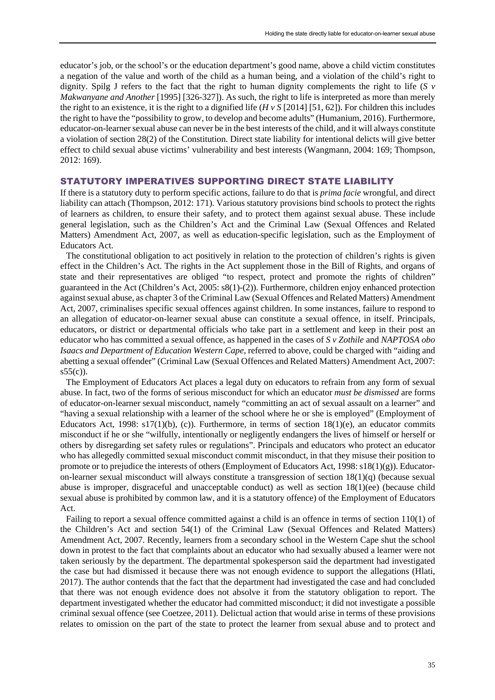educator's job, or the school's or the education department's good name, above a child victim constitutes a negation of the value and worth of the child as a human being, and a violation of the child's right to dignity. Spilg J refers to the fact that the right to human dignity complements the right to life (*S v Makwanyane and Another* [1995] [326-327]). As such, the right to life is interpreted as more than merely the right to an existence, it is the right to a dignified life (*H v S* [2014] [51, 62]). For children this includes the right to have the "possibility to grow, to develop and become adults" (Humanium, 2016). Furthermore, educator-on-learner sexual abuse can never be in the best interests of the child, and it will always constitute a violation of section 28(2) of the Constitution. Direct state liability for intentional delicts will give better effect to child sexual abuse victims' vulnerability and best interests (Wangmann, 2004: 169; Thompson, 2012: 169).

# STATUTORY IMPERATIVES SUPPORTING DIRECT STATE LIABILITY

If there is a statutory duty to perform specific actions, failure to do that is *prima facie* wrongful, and direct liability can attach (Thompson, 2012: 171). Various statutory provisions bind schools to protect the rights of learners as children, to ensure their safety, and to protect them against sexual abuse. These include general legislation, such as the Children's Act and the Criminal Law (Sexual Offences and Related Matters) Amendment Act, 2007, as well as education-specific legislation, such as the Employment of Educators Act.

The constitutional obligation to act positively in relation to the protection of children's rights is given effect in the Children's Act. The rights in the Act supplement those in the Bill of Rights, and organs of state and their representatives are obliged "to respect, protect and promote the rights of children" guaranteed in the Act (Children's Act, 2005: s8(1)-(2)). Furthermore, children enjoy enhanced protection against sexual abuse, as chapter 3 of the Criminal Law (Sexual Offences and Related Matters) Amendment Act, 2007, criminalises specific sexual offences against children. In some instances, failure to respond to an allegation of educator-on-learner sexual abuse can constitute a sexual offence, in itself. Principals, educators, or district or departmental officials who take part in a settlement and keep in their post an educator who has committed a sexual offence, as happened in the cases of *S v Zothile* and *NAPTOSA obo Isaacs and Department of Education Western Cape*, referred to above, could be charged with "aiding and abetting a sexual offender" (Criminal Law (Sexual Offences and Related Matters) Amendment Act, 2007:  $s55(c)$ ).

The Employment of Educators Act places a legal duty on educators to refrain from any form of sexual abuse. In fact, two of the forms of serious misconduct for which an educator *must be dismissed* are forms of educator-on-learner sexual misconduct, namely "committing an act of sexual assault on a learner" and "having a sexual relationship with a learner of the school where he or she is employed" (Employment of Educators Act, 1998:  $s17(1)(b)$ , (c)). Furthermore, in terms of section  $18(1)(e)$ , an educator commits misconduct if he or she "wilfully, intentionally or negligently endangers the lives of himself or herself or others by disregarding set safety rules or regulations". Principals and educators who protect an educator who has allegedly committed sexual misconduct commit misconduct, in that they misuse their position to promote or to prejudice the interests of others (Employment of Educators Act, 1998:  $s18(1)(g)$ ). Educatoron-learner sexual misconduct will always constitute a transgression of section 18(1)(q) (because sexual abuse is improper, disgraceful and unacceptable conduct) as well as section 18(1)(ee) (because child sexual abuse is prohibited by common law, and it is a statutory offence) of the Employment of Educators Act.

Failing to report a sexual offence committed against a child is an offence in terms of section 110(1) of the Children's Act and section 54(1) of the Criminal Law (Sexual Offences and Related Matters) Amendment Act, 2007. Recently, learners from a secondary school in the Western Cape shut the school down in protest to the fact that complaints about an educator who had sexually abused a learner were not taken seriously by the department. The departmental spokesperson said the department had investigated the case but had dismissed it because there was not enough evidence to support the allegations (Hlati, 2017). The author contends that the fact that the department had investigated the case and had concluded that there was not enough evidence does not absolve it from the statutory obligation to report. The department investigated whether the educator had committed misconduct; it did not investigate a possible criminal sexual offence (see Coetzee, 2011). Delictual action that would arise in terms of these provisions relates to omission on the part of the state to protect the learner from sexual abuse and to protect and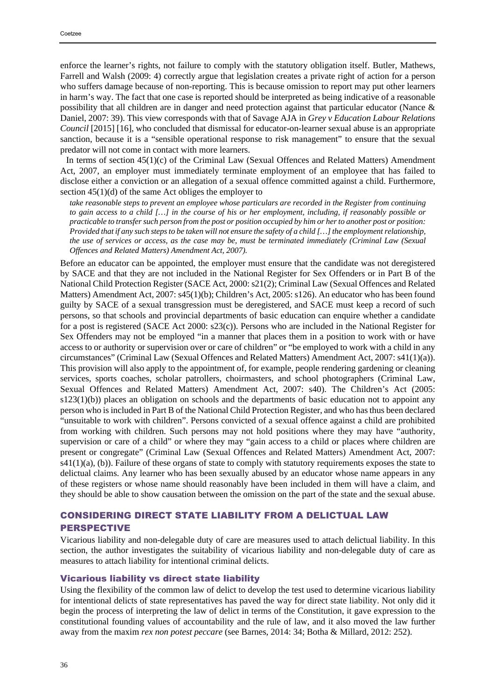enforce the learner's rights, not failure to comply with the statutory obligation itself. Butler, Mathews, Farrell and Walsh (2009: 4) correctly argue that legislation creates a private right of action for a person who suffers damage because of non-reporting. This is because omission to report may put other learners in harm's way. The fact that one case is reported should be interpreted as being indicative of a reasonable possibility that all children are in danger and need protection against that particular educator (Nance & Daniel, 2007: 39). This view corresponds with that of Savage AJA in *Grey v Education Labour Relations Council* [2015] [16], who concluded that dismissal for educator-on-learner sexual abuse is an appropriate sanction, because it is a "sensible operational response to risk management" to ensure that the sexual predator will not come in contact with more learners.

In terms of section 45(1)(c) of the Criminal Law (Sexual Offences and Related Matters) Amendment Act, 2007, an employer must immediately terminate employment of an employee that has failed to disclose either a conviction or an allegation of a sexual offence committed against a child. Furthermore, section 45(1)(d) of the same Act obliges the employer to

*take reasonable steps to prevent an employee whose particulars are recorded in the Register from continuing to gain access to a child […] in the course of his or her employment, including, if reasonably possible or practicable to transfer such person from the post or position occupied by him or her to another post or position: Provided that if any such steps to be taken will not ensure the safety of a child […] the employment relationship, the use of services or access, as the case may be, must be terminated immediately (Criminal Law (Sexual Offences and Related Matters) Amendment Act, 2007).*

Before an educator can be appointed, the employer must ensure that the candidate was not deregistered by SACE and that they are not included in the National Register for Sex Offenders or in Part B of the National Child Protection Register (SACE Act, 2000: s21(2); Criminal Law (Sexual Offences and Related Matters) Amendment Act, 2007: s45(1)(b); Children's Act, 2005: s126). An educator who has been found guilty by SACE of a sexual transgression must be deregistered, and SACE must keep a record of such persons, so that schools and provincial departments of basic education can enquire whether a candidate for a post is registered (SACE Act 2000: s23(c)). Persons who are included in the National Register for Sex Offenders may not be employed "in a manner that places them in a position to work with or have access to or authority or supervision over or care of children" or "be employed to work with a child in any circumstances" (Criminal Law (Sexual Offences and Related Matters) Amendment Act, 2007: s41(1)(a)). This provision will also apply to the appointment of, for example, people rendering gardening or cleaning services, sports coaches, scholar patrollers, choirmasters, and school photographers (Criminal Law, Sexual Offences and Related Matters) Amendment Act, 2007: s40). The Children's Act (2005:  $s123(1)(b)$ ) places an obligation on schools and the departments of basic education not to appoint any person who is included in Part B of the National Child Protection Register, and who hasthus been declared "unsuitable to work with children". Persons convicted of a sexual offence against a child are prohibited from working with children. Such persons may not hold positions where they may have "authority, supervision or care of a child" or where they may "gain access to a child or places where children are present or congregate" (Criminal Law (Sexual Offences and Related Matters) Amendment Act, 2007:  $s41(1)(a)$ , (b)). Failure of these organs of state to comply with statutory requirements exposes the state to delictual claims. Any learner who has been sexually abused by an educator whose name appears in any of these registers or whose name should reasonably have been included in them will have a claim, and they should be able to show causation between the omission on the part of the state and the sexual abuse.

# CONSIDERING DIRECT STATE LIABILITY FROM A DELICTUAL LAW PERSPECTIVE

Vicarious liability and non-delegable duty of care are measures used to attach delictual liability. In this section, the author investigates the suitability of vicarious liability and non-delegable duty of care as measures to attach liability for intentional criminal delicts.

### Vicarious liability vs direct state liability

Using the flexibility of the common law of delict to develop the test used to determine vicarious liability for intentional delicts of state representatives has paved the way for direct state liability. Not only did it begin the process of interpreting the law of delict in terms of the Constitution, it gave expression to the constitutional founding values of accountability and the rule of law, and it also moved the law further away from the maxim *rex non potest peccare* (see Barnes, 2014: 34; Botha & Millard, 2012: 252).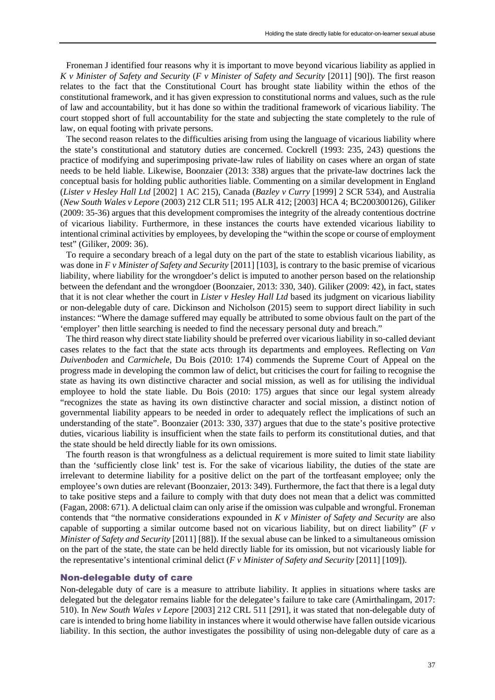Froneman J identified four reasons why it is important to move beyond vicarious liability as applied in *K v Minister of Safety and Security* (*F v Minister of Safety and Security* [2011] [90]). The first reason relates to the fact that the Constitutional Court has brought state liability within the ethos of the constitutional framework, and it has given expression to constitutional norms and values, such as the rule of law and accountability, but it has done so within the traditional framework of vicarious liability. The court stopped short of full accountability for the state and subjecting the state completely to the rule of law, on equal footing with private persons.

The second reason relates to the difficulties arising from using the language of vicarious liability where the state's constitutional and statutory duties are concerned. Cockrell (1993: 235, 243) questions the practice of modifying and superimposing private-law rules of liability on cases where an organ of state needs to be held liable. Likewise, Boonzaier (2013: 338) argues that the private-law doctrines lack the conceptual basis for holding public authorities liable. Commenting on a similar development in England (*Lister v Hesley Hall Ltd* [2002] 1 AC 215), Canada (*Bazley v Curry* [1999] 2 SCR 534), and Australia (*New South Wales v Lepore* (2003) 212 CLR 511; 195 ALR 412; [2003] HCA 4; BC200300126), Giliker (2009: 35-36) argues that this development compromises the integrity of the already contentious doctrine of vicarious liability. Furthermore, in these instances the courts have extended vicarious liability to intentional criminal activities by employees, by developing the "within the scope or course of employment test" (Giliker, 2009: 36).

To require a secondary breach of a legal duty on the part of the state to establish vicarious liability, as was done in *F v Minister of Safety and Security* [2011] [103], is contrary to the basic premise of vicarious liability, where liability for the wrongdoer's delict is imputed to another person based on the relationship between the defendant and the wrongdoer (Boonzaier, 2013: 330, 340). Giliker (2009: 42), in fact, states that it is not clear whether the court in *Lister v Hesley Hall Ltd* based its judgment on vicarious liability or non-delegable duty of care. Dickinson and Nicholson (2015) seem to support direct liability in such instances: "Where the damage suffered may equally be attributed to some obvious fault on the part of the 'employer' then little searching is needed to find the necessary personal duty and breach."

The third reason why direct state liability should be preferred over vicarious liability in so-called deviant cases relates to the fact that the state acts through its departments and employees. Reflecting on *Van Duivenboden* and *Carmichele*, Du Bois (2010: 174) commends the Supreme Court of Appeal on the progress made in developing the common law of delict, but criticises the court for failing to recognise the state as having its own distinctive character and social mission, as well as for utilising the individual employee to hold the state liable. Du Bois (2010: 175) argues that since our legal system already "recognizes the state as having its own distinctive character and social mission, a distinct notion of governmental liability appears to be needed in order to adequately reflect the implications of such an understanding of the state". Boonzaier (2013: 330, 337) argues that due to the state's positive protective duties, vicarious liability is insufficient when the state fails to perform its constitutional duties, and that the state should be held directly liable for its own omissions.

The fourth reason is that wrongfulness as a delictual requirement is more suited to limit state liability than the 'sufficiently close link' test is. For the sake of vicarious liability, the duties of the state are irrelevant to determine liability for a positive delict on the part of the tortfeasant employee; only the employee's own duties are relevant (Boonzaier, 2013: 349). Furthermore, the fact that there is a legal duty to take positive steps and a failure to comply with that duty does not mean that a delict was committed (Fagan, 2008: 671). A delictual claim can only arise if the omission was culpable and wrongful. Froneman contends that "the normative considerations expounded in *K v Minister of Safety and Security* are also capable of supporting a similar outcome based not on vicarious liability, but on direct liability" (*F v Minister of Safety and Security* [2011] [88]). If the sexual abuse can be linked to a simultaneous omission on the part of the state, the state can be held directly liable for its omission, but not vicariously liable for the representative's intentional criminal delict (*F v Minister of Safety and Security* [2011] [109]).

#### Non-delegable duty of care

Non-delegable duty of care is a measure to attribute liability. It applies in situations where tasks are delegated but the delegator remains liable for the delegatee's failure to take care (Amirthalingam, 2017: 510). In *New South Wales v Lepore* [2003] 212 CRL 511 [291], it was stated that non-delegable duty of care is intended to bring home liability in instances where it would otherwise have fallen outside vicarious liability. In this section, the author investigates the possibility of using non-delegable duty of care as a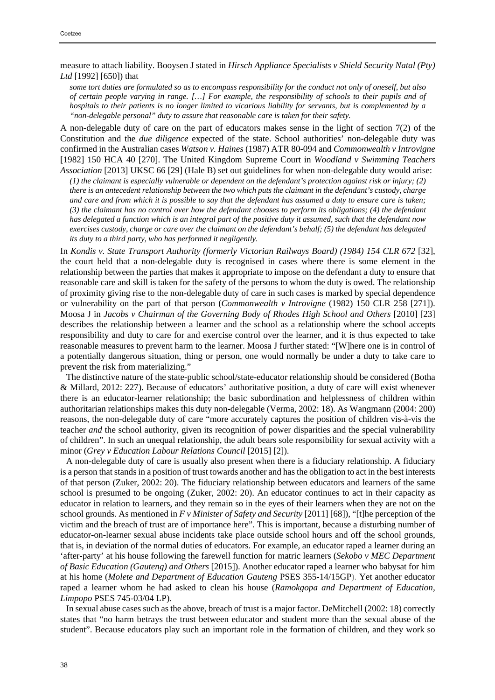measure to attach liability. Booysen J stated in *Hirsch Appliance Specialists v Shield Security Natal (Pty) Ltd* [1992] [650]) that

*some tort duties are formulated so as to encompass responsibility for the conduct not only of oneself, but also of certain people varying in range. […] For example, the responsibility of schools to their pupils and of hospitals to their patients is no longer limited to vicarious liability for servants, but is complemented by a "non-delegable personal" duty to assure that reasonable care is taken for their safety.*

A non-delegable duty of care on the part of educators makes sense in the light of section 7(2) of the Constitution and the *due diligence* expected of the state. School authorities' non-delegable duty was confirmed in the Australian cases *Watson v. Haines* (1987) ATR 80-094 and *Commonwealth v Introvigne*  [1982] 150 HCA 40 [270]. The United Kingdom Supreme Court in *Woodland v Swimming Teachers Association* [2013] UKSC 66 [29] (Hale B) set out guidelines for when non-delegable duty would arise:

*(1) the claimant is especially vulnerable or dependent on the defendant's protection against risk or injury; (2) there is an antecedent relationship between the two which puts the claimant in the defendant's custody, charge and care and from which it is possible to say that the defendant has assumed a duty to ensure care is taken; (3) the claimant has no control over how the defendant chooses to perform its obligations; (4) the defendant has delegated a function which is an integral part of the positive duty it assumed, such that the defendant now exercises custody, charge or care over the claimant on the defendant's behalf; (5) the defendant has delegated its duty to a third party, who has performed it negligently.*

In *Kondis v. State Transport Authority (formerly Victorian Railways Board) (1984) 154 CLR 672* [32], the court held that a non-delegable duty is recognised in cases where there is some element in the relationship between the parties that makes it appropriate to impose on the defendant a duty to ensure that reasonable care and skill is taken for the safety of the persons to whom the duty is owed. The relationship of proximity giving rise to the non-delegable duty of care in such cases is marked by special dependence or vulnerability on the part of that person (*Commonwealth v Introvigne* (1982) 150 CLR 258 [271]). Moosa J in *Jacobs v Chairman of the Governing Body of Rhodes High School and Others* [2010] [23] describes the relationship between a learner and the school as a relationship where the school accepts responsibility and duty to care for and exercise control over the learner, and it is thus expected to take reasonable measures to prevent harm to the learner. Moosa J further stated: "[W]here one is in control of a potentially dangerous situation, thing or person, one would normally be under a duty to take care to prevent the risk from materializing."

The distinctive nature of the state-public school/state-educator relationship should be considered (Botha & Millard, 2012: 227). Because of educators' authoritative position, a duty of care will exist whenever there is an educator-learner relationship; the basic subordination and helplessness of children within authoritarian relationships makes this duty non-delegable (Verma, 2002: 18). As Wangmann (2004: 200) reasons, the non-delegable duty of care "more accurately captures the position of children vis-à-vis the teacher *and* the school authority, given its recognition of power disparities and the special vulnerability of children". In such an unequal relationship, the adult bears sole responsibility for sexual activity with a minor (*Grey v Education Labour Relations Council* [2015] [2]).

A non-delegable duty of care is usually also present when there is a fiduciary relationship. A fiduciary is a person that stands in a position of trust towards another and has the obligation to act in the best interests of that person (Zuker, 2002: 20). The fiduciary relationship between educators and learners of the same school is presumed to be ongoing (Zuker, 2002: 20). An educator continues to act in their capacity as educator in relation to learners, and they remain so in the eyes of their learners when they are not on the school grounds. As mentioned in *F v Minister of Safety and Security* [2011] [68]), "[t]he perception of the victim and the breach of trust are of importance here". This is important, because a disturbing number of educator-on-learner sexual abuse incidents take place outside school hours and off the school grounds, that is, in deviation of the normal duties of educators. For example, an educator raped a learner during an 'after-party' at his house following the farewell function for matric learners (*Sekobo v MEC Department of Basic Education (Gauteng) and Others* [2015]). Another educator raped a learner who babysat for him at his home (*Molete and Department of Education Gauteng* PSES 355-14/15GP). Yet another educator raped a learner whom he had asked to clean his house (*Ramokgopa and Department of Education, Limpopo* PSES 745-03/04 LP).

In sexual abuse cases such as the above, breach of trust is a major factor. DeMitchell (2002: 18) correctly states that "no harm betrays the trust between educator and student more than the sexual abuse of the student". Because educators play such an important role in the formation of children, and they work so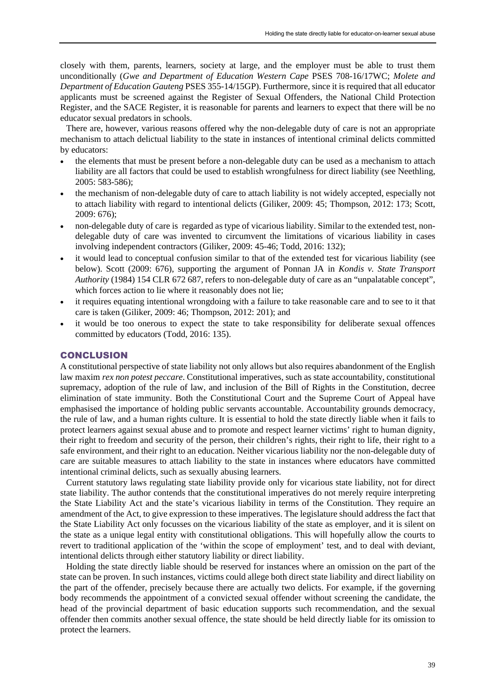closely with them, parents, learners, society at large, and the employer must be able to trust them unconditionally (*Gwe and Department of Education Western Cape* PSES 708-16/17WC; *Molete and Department of Education Gauteng* PSES 355-14/15GP). Furthermore, since it is required that all educator applicants must be screened against the Register of Sexual Offenders, the National Child Protection Register, and the SACE Register, it is reasonable for parents and learners to expect that there will be no educator sexual predators in schools.

There are, however, various reasons offered why the non-delegable duty of care is not an appropriate mechanism to attach delictual liability to the state in instances of intentional criminal delicts committed by educators:

- the elements that must be present before a non-delegable duty can be used as a mechanism to attach liability are all factors that could be used to establish wrongfulness for direct liability (see Neethling, 2005: 583-586);
- the mechanism of non-delegable duty of care to attach liability is not widely accepted, especially not to attach liability with regard to intentional delicts (Giliker, 2009: 45; Thompson, 2012: 173; Scott, 2009: 676);
- non-delegable duty of care is regarded as type of vicarious liability. Similar to the extended test, nondelegable duty of care was invented to circumvent the limitations of vicarious liability in cases involving independent contractors (Giliker, 2009: 45-46; Todd, 2016: 132);
- it would lead to conceptual confusion similar to that of the extended test for vicarious liability (see below). Scott (2009: 676), supporting the argument of Ponnan JA in *Kondis v. State Transport Authority* (1984) 154 CLR 672 687, refers to non-delegable duty of care as an "unpalatable concept", which forces action to lie where it reasonably does not lie;
- it requires equating intentional wrongdoing with a failure to take reasonable care and to see to it that care is taken (Giliker, 2009: 46; Thompson, 2012: 201); and
- it would be too onerous to expect the state to take responsibility for deliberate sexual offences committed by educators (Todd, 2016: 135).

## **CONCLUSION**

A constitutional perspective of state liability not only allows but also requires abandonment of the English law maxim *rex non potest peccare*. Constitutional imperatives, such as state accountability, constitutional supremacy, adoption of the rule of law, and inclusion of the Bill of Rights in the Constitution, decree elimination of state immunity. Both the Constitutional Court and the Supreme Court of Appeal have emphasised the importance of holding public servants accountable. Accountability grounds democracy, the rule of law, and a human rights culture. It is essential to hold the state directly liable when it fails to protect learners against sexual abuse and to promote and respect learner victims' right to human dignity, their right to freedom and security of the person, their children's rights, their right to life, their right to a safe environment, and their right to an education. Neither vicarious liability nor the non-delegable duty of care are suitable measures to attach liability to the state in instances where educators have committed intentional criminal delicts, such as sexually abusing learners.

Current statutory laws regulating state liability provide only for vicarious state liability, not for direct state liability. The author contends that the constitutional imperatives do not merely require interpreting the State Liability Act and the state's vicarious liability in terms of the Constitution. They require an amendment of the Act, to give expression to these imperatives. The legislature should address the fact that the State Liability Act only focusses on the vicarious liability of the state as employer, and it is silent on the state as a unique legal entity with constitutional obligations. This will hopefully allow the courts to revert to traditional application of the 'within the scope of employment' test, and to deal with deviant, intentional delicts through either statutory liability or direct liability.

Holding the state directly liable should be reserved for instances where an omission on the part of the state can be proven. In such instances, victims could allege both direct state liability and direct liability on the part of the offender, precisely because there are actually two delicts. For example, if the governing body recommends the appointment of a convicted sexual offender without screening the candidate, the head of the provincial department of basic education supports such recommendation, and the sexual offender then commits another sexual offence, the state should be held directly liable for its omission to protect the learners.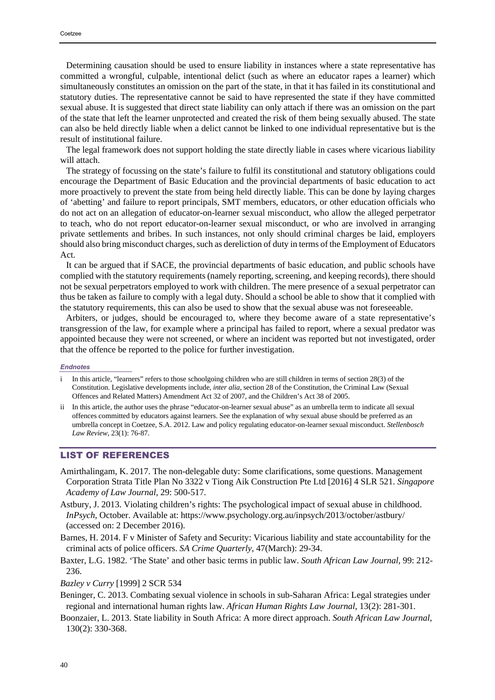Determining causation should be used to ensure liability in instances where a state representative has committed a wrongful, culpable, intentional delict (such as where an educator rapes a learner) which simultaneously constitutes an omission on the part of the state, in that it has failed in its constitutional and statutory duties. The representative cannot be said to have represented the state if they have committed sexual abuse. It is suggested that direct state liability can only attach if there was an omission on the part of the state that left the learner unprotected and created the risk of them being sexually abused. The state can also be held directly liable when a delict cannot be linked to one individual representative but is the result of institutional failure.

The legal framework does not support holding the state directly liable in cases where vicarious liability will attach.

The strategy of focussing on the state's failure to fulfil its constitutional and statutory obligations could encourage the Department of Basic Education and the provincial departments of basic education to act more proactively to prevent the state from being held directly liable. This can be done by laying charges of 'abetting' and failure to report principals, SMT members, educators, or other education officials who do not act on an allegation of educator-on-learner sexual misconduct, who allow the alleged perpetrator to teach, who do not report educator-on-learner sexual misconduct, or who are involved in arranging private settlements and bribes. In such instances, not only should criminal charges be laid, employers should also bring misconduct charges, such as dereliction of duty in terms of the Employment of Educators Act.

It can be argued that if SACE, the provincial departments of basic education, and public schools have complied with the statutory requirements (namely reporting, screening, and keeping records), there should not be sexual perpetrators employed to work with children. The mere presence of a sexual perpetrator can thus be taken as failure to comply with a legal duty. Should a school be able to show that it complied with the statutory requirements, this can also be used to show that the sexual abuse was not foreseeable.

Arbiters, or judges, should be encouraged to, where they become aware of a state representative's transgression of the law, for example where a principal has failed to report, where a sexual predator was appointed because they were not screened, or where an incident was reported but not investigated, order that the offence be reported to the police for further investigation.

#### *Endnotes*

- i In this article, "learners" refers to those schoolgoing children who are still children in terms of section 28(3) of the Constitution. Legislative developments include, *inter alia*, section 28 of the Constitution, the Criminal Law (Sexual Offences and Related Matters) Amendment Act 32 of 2007, and the Children's Act 38 of 2005.
- ii In this article, the author uses the phrase "educator-on-learner sexual abuse" as an umbrella term to indicate all sexual offences committed by educators against learners. See the explanation of why sexual abuse should be preferred as an umbrella concept in Coetzee, S.A. 2012. Law and policy regulating educator-on-learner sexual misconduct. *Stellenbosch Law Review*, 23(1): 76-87.

# LIST OF REFERENCES

- Amirthalingam, K. 2017. The non-delegable duty: Some clarifications, some questions. Management Corporation Strata Title Plan No 3322 v Tiong Aik Construction Pte Ltd [2016] 4 SLR 521. *Singapore Academy of Law Journal*, 29: 500-517.
- Astbury, J. 2013. Violating children's rights: The psychological impact of sexual abuse in childhood. *InPsych*, October. Available at: https://www.psychology.org.au/inpsych/2013/october/astbury/ (accessed on: 2 December 2016).
- Barnes, H. 2014. F v Minister of Safety and Security: Vicarious liability and state accountability for the criminal acts of police officers. *SA Crime Quarterly*, 47(March): 29-34.
- Baxter, L.G. 1982. 'The State' and other basic terms in public law. *South African Law Journal*, 99: 212- 236.
- *Bazley v Curry* [1999] 2 SCR 534
- Beninger, C. 2013. Combating sexual violence in schools in sub-Saharan Africa: Legal strategies under regional and international human rights law. *African Human Rights Law Journal*, 13(2): 281-301.
- Boonzaier, L. 2013. State liability in South Africa: A more direct approach. *South African Law Journal*, 130(2): 330-368.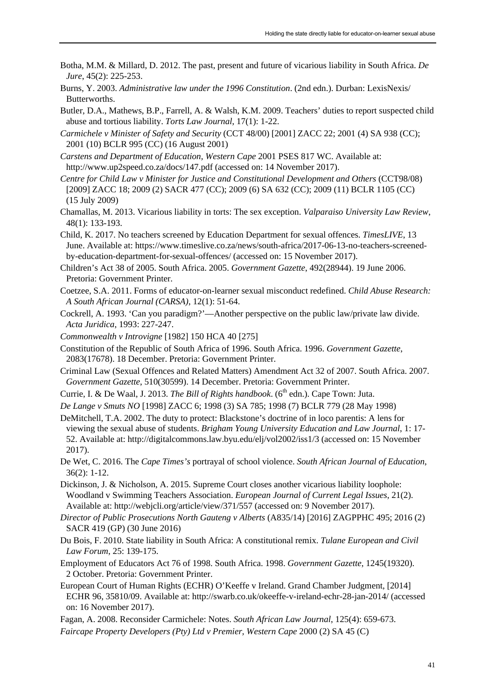- Botha, M.M. & Millard, D. 2012. The past, present and future of vicarious liability in South Africa. *De Jure*, 45(2): 225-253.
- Burns, Y. 2003. *Administrative law under the 1996 Constitution*. (2nd edn.). Durban: LexisNexis/ Butterworths.
- Butler, D.A., Mathews, B.P., Farrell, A. & Walsh, K.M. 2009. Teachers' duties to report suspected child abuse and tortious liability. *Torts Law Journal*, 17(1): 1-22.
- *Carmichele v Minister of Safety and Security* (CCT 48/00) [2001] ZACC 22; 2001 (4) SA 938 (CC); 2001 (10) BCLR 995 (CC) (16 August 2001)
- *Carstens and Department of Education, Western Cape* 2001 PSES 817 WC. Available at: http://www.up2speed.co.za/docs/147.pdf (accessed on: 14 November 2017).
- *Centre for Child Law v Minister for Justice and Constitutional Development and Others* (CCT98/08) [2009] ZACC 18; 2009 (2) SACR 477 (CC); 2009 (6) SA 632 (CC); 2009 (11) BCLR 1105 (CC) (15 July 2009)
- Chamallas, M. 2013. Vicarious liability in torts: The sex exception. *Valparaiso University Law Review*, 48(1): 133-193.
- Child, K. 2017. No teachers screened by Education Department for sexual offences. *TimesLIVE*, 13 June. Available at: https://www.timeslive.co.za/news/south-africa/2017-06-13-no-teachers-screenedby-education-department-for-sexual-offences/ (accessed on: 15 November 2017).
- Children's Act 38 of 2005. South Africa. 2005. *Government Gazette*, 492(28944). 19 June 2006. Pretoria: Government Printer.
- Coetzee, S.A. 2011. Forms of educator-on-learner sexual misconduct redefined. *Child Abuse Research: A South African Journal (CARSA)*, 12(1): 51-64.
- Cockrell, A. 1993. 'Can you paradigm?'—Another perspective on the public law/private law divide. *Acta Juridica*, 1993: 227-247.
- *Commonwealth v Introvigne* [1982] 150 HCA 40 [275]
- Constitution of the Republic of South Africa of 1996. South Africa. 1996. *Government Gazette*, 2083(17678). 18 December. Pretoria: Government Printer.
- Criminal Law (Sexual Offences and Related Matters) Amendment Act 32 of 2007. South Africa. 2007. *Government Gazette*, 510(30599). 14 December. Pretoria: Government Printer.
- Currie, I. & De Waal, J. 2013. *The Bill of Rights handbook*. (6<sup>th</sup> edn.). Cape Town: Juta.

*De Lange v Smuts NO* [1998] ZACC 6; 1998 (3) SA 785; 1998 (7) BCLR 779 (28 May 1998)

- DeMitchell, T.A. 2002. The duty to protect: Blackstone's doctrine of in loco parentis: A lens for viewing the sexual abuse of students. *Brigham Young University Education and Law Journal*, 1: 17- 52. Available at: http://digitalcommons.law.byu.edu/elj/vol2002/iss1/3 (accessed on: 15 November 2017).
- De Wet, C. 2016. The *Cape Times's* portrayal of school violence. *South African Journal of Education*, 36(2): 1-12.
- Dickinson, J. & Nicholson, A. 2015. Supreme Court closes another vicarious liability loophole: Woodland v Swimming Teachers Association. *European Journal of Current Legal Issues*, 21(2). Available at: http://webjcli.org/article/view/371/557 (accessed on: 9 November 2017).
- *Director of Public Prosecutions North Gauteng v Alberts* (A835/14) [2016] ZAGPPHC 495; 2016 (2) SACR 419 (GP) (30 June 2016)
- Du Bois, F. 2010. State liability in South Africa: A constitutional remix. *Tulane European and Civil Law Forum*, 25: 139-175.
- Employment of Educators Act 76 of 1998. South Africa. 1998. *Government Gazette*, 1245(19320). 2 October. Pretoria: Government Printer.
- European Court of Human Rights (ECHR) O'Keeffe v Ireland. Grand Chamber Judgment, [2014] ECHR 96, 35810/09. Available at: http://swarb.co.uk/okeeffe-v-ireland-echr-28-jan-2014/ (accessed on: 16 November 2017).
- Fagan, A. 2008. Reconsider Carmichele: Notes. *South African Law Journal*, 125(4): 659-673. *Faircape Property Developers (Pty) Ltd v Premier, Western Cape* 2000 (2) SA 45 (C)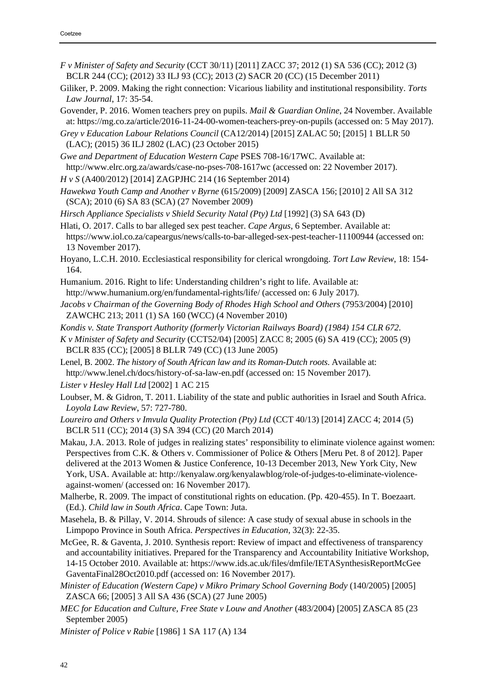- *F v Minister of Safety and Security* (CCT 30/11) [2011] ZACC 37; 2012 (1) SA 536 (CC); 2012 (3) BCLR 244 (CC); (2012) 33 ILJ 93 (CC); 2013 (2) SACR 20 (CC) (15 December 2011)
- Giliker, P. 2009. Making the right connection: Vicarious liability and institutional responsibility. *Torts Law Journal*, 17: 35-54.
- Govender, P. 2016. Women teachers prey on pupils. *Mail & Guardian Online*, 24 November. Available at: https://mg.co.za/article/2016-11-24-00-women-teachers-prey-on-pupils (accessed on: 5 May 2017).
- *Grey v Education Labour Relations Council* (CA12/2014) [2015] ZALAC 50; [2015] 1 BLLR 50 (LAC); (2015) 36 ILJ 2802 (LAC) (23 October 2015)

*Gwe and Department of Education Western Cape* PSES 708-16/17WC. Available at: http://www.elrc.org.za/awards/case-no-pses-708-1617wc (accessed on: 22 November 2017).

- *H v S* (A400/2012) [2014] ZAGPJHC 214 (16 September 2014)
- *Hawekwa Youth Camp and Another v Byrne* (615/2009) [2009] ZASCA 156; [2010] 2 All SA 312 (SCA); 2010 (6) SA 83 (SCA) (27 November 2009)
- *Hirsch Appliance Specialists v Shield Security Natal (Pty) Ltd* [1992] (3) SA 643 (D)
- Hlati, O. 2017. Calls to bar alleged sex pest teacher. *Cape Argus*, 6 September. Available at: https://www.iol.co.za/capeargus/news/calls-to-bar-alleged-sex-pest-teacher-11100944 (accessed on: 13 November 2017).
- Hoyano, L.C.H. 2010. Ecclesiastical responsibility for clerical wrongdoing. *Tort Law Review*, 18: 154- 164.
- Humanium. 2016. Right to life: Understanding children's right to life. Available at: http://www.humanium.org/en/fundamental-rights/life/ (accessed on: 6 July 2017).
- *Jacobs v Chairman of the Governing Body of Rhodes High School and Others* (7953/2004) [2010] ZAWCHC 213; 2011 (1) SA 160 (WCC) (4 November 2010)
- *Kondis v. State Transport Authority (formerly Victorian Railways Board) (1984) 154 CLR 672.*
- *K v Minister of Safety and Security* (CCT52/04) [2005] ZACC 8; 2005 (6) SA 419 (CC); 2005 (9) BCLR 835 (CC); [2005] 8 BLLR 749 (CC) (13 June 2005)
- Lenel, B. 2002. *The history of South African law and its Roman-Dutch roots*. Available at: http://www.lenel.ch/docs/history-of-sa-law-en.pdf (accessed on: 15 November 2017).
- *Lister v Hesley Hall Ltd* [2002] 1 AC 215
- Loubser, M. & Gidron, T. 2011. Liability of the state and public authorities in Israel and South Africa. *Loyola Law Review*, 57: 727-780.
- *Loureiro and Others v Imvula Quality Protection (Pty) Ltd* (CCT 40/13) [2014] ZACC 4; 2014 (5) BCLR 511 (CC); 2014 (3) SA 394 (CC) (20 March 2014)
- Makau, J.A. 2013. Role of judges in realizing states' responsibility to eliminate violence against women: Perspectives from C.K. & Others v. Commissioner of Police & Others [Meru Pet. 8 of 2012]. Paper delivered at the 2013 Women & Justice Conference, 10-13 December 2013, New York City, New York, USA. Available at: http://kenyalaw.org/kenyalawblog/role-of-judges-to-eliminate-violenceagainst-women/ (accessed on: 16 November 2017).
- Malherbe, R. 2009. The impact of constitutional rights on education. (Pp. 420-455). In T. Boezaart. (Ed.). *Child law in South Africa*. Cape Town: Juta.
- Masehela, B. & Pillay, V. 2014. Shrouds of silence: A case study of sexual abuse in schools in the Limpopo Province in South Africa. *Perspectives in Education*, 32(3): 22-35.
- McGee, R. & Gaventa, J. 2010. Synthesis report: Review of impact and effectiveness of transparency and accountability initiatives. Prepared for the Transparency and Accountability Initiative Workshop, 14-15 October 2010. Available at: https://www.ids.ac.uk/files/dmfile/IETASynthesisReportMcGee GaventaFinal28Oct2010.pdf (accessed on: 16 November 2017).
- *Minister of Education (Western Cape) v Mikro Primary School Governing Body* (140/2005) [2005] ZASCA 66; [2005] 3 All SA 436 (SCA) (27 June 2005)
- *MEC for Education and Culture, Free State v Louw and Another* (483/2004) [2005] ZASCA 85 (23 September 2005)

*Minister of Police v Rabie* [1986] 1 SA 117 (A) 134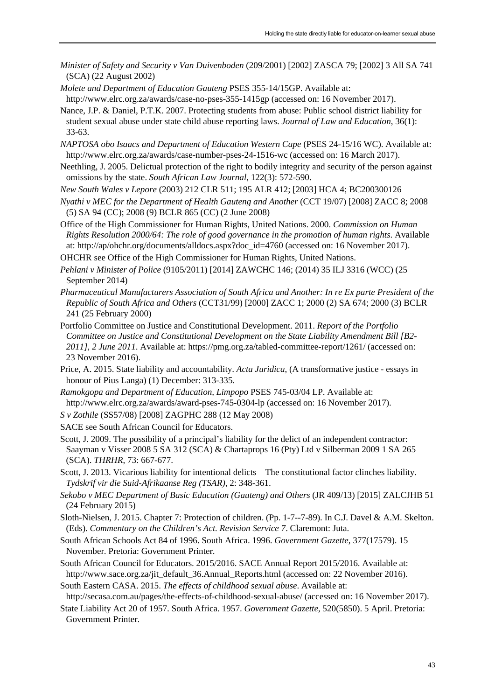- *Minister of Safety and Security v Van Duivenboden* (209/2001) [2002] ZASCA 79; [2002] 3 All SA 741 (SCA) (22 August 2002)
- *Molete and Department of Education Gauteng* PSES 355-14/15GP. Available at: http://www.elrc.org.za/awards/case-no-pses-355-1415gp (accessed on: 16 November 2017).
- Nance, J.P. & Daniel, P.T.K. 2007. Protecting students from abuse: Public school district liability for student sexual abuse under state child abuse reporting laws. *Journal of Law and Education*, 36(1): 33-63.
- *NAPTOSA obo Isaacs and Department of Education Western Cape* (PSES 24-15/16 WC). Available at: http://www.elrc.org.za/awards/case-number-pses-24-1516-wc (accessed on: 16 March 2017).
- Neethling, J. 2005. Delictual protection of the right to bodily integrity and security of the person against omissions by the state. *South African Law Journal*, 122(3): 572-590.
- *New South Wales v Lepore* (2003) 212 CLR 511; 195 ALR 412; [2003] HCA 4; BC200300126
- *Nyathi v MEC for the Department of Health Gauteng and Another* (CCT 19/07) [2008] ZACC 8; 2008 (5) SA 94 (CC); 2008 (9) BCLR 865 (CC) (2 June 2008)
- Office of the High Commissioner for Human Rights, United Nations. 2000. *Commission on Human Rights Resolution 2000/64: The role of good governance in the promotion of human rights*. Available at: http://ap/ohchr.org/documents/alldocs.aspx?doc\_id=4760 (accessed on: 16 November 2017).
- OHCHR see Office of the High Commissioner for Human Rights, United Nations.
- *Pehlani v Minister of Police* (9105/2011) [2014] ZAWCHC 146; (2014) 35 ILJ 3316 (WCC) (25 September 2014)
- *Pharmaceutical Manufacturers Association of South Africa and Another: In re Ex parte President of the Republic of South Africa and Others* (CCT31/99) [2000] ZACC 1; 2000 (2) SA 674; 2000 (3) BCLR 241 (25 February 2000)
- Portfolio Committee on Justice and Constitutional Development. 2011. *Report of the Portfolio Committee on Justice and Constitutional Development on the State Liability Amendment Bill [B2- 2011], 2 June 2011*. Available at: https://pmg.org.za/tabled-committee-report/1261/ (accessed on: 23 November 2016).
- Price, A. 2015. State liability and accountability. *Acta Juridica*, (A transformative justice essays in honour of Pius Langa) (1) December: 313-335.
- *Ramokgopa and Department of Education, Limpopo* PSES 745-03/04 LP. Available at: http://www.elrc.org.za/awards/award-pses-745-0304-lp (accessed on: 16 November 2017).
- *S v Zothile* (SS57/08) [2008] ZAGPHC 288 (12 May 2008)
- SACE see South African Council for Educators.
- Scott, J. 2009. The possibility of a principal's liability for the delict of an independent contractor: Saayman v Visser 2008 5 SA 312 (SCA) & Chartaprops 16 (Pty) Ltd v Silberman 2009 1 SA 265 (SCA). *THRHR*, 73: 667-677.
- Scott, J. 2013. Vicarious liability for intentional delicts The constitutional factor clinches liability. *Tydskrif vir die Suid-Afrikaanse Reg (TSAR)*, 2: 348-361.
- *Sekobo v MEC Department of Basic Education (Gauteng) and Others* (JR 409/13) [2015] ZALCJHB 51 (24 February 2015)
- Sloth-Nielsen, J. 2015. Chapter 7: Protection of children. (Pp. 1-7--7-89). In C.J. Davel & A.M. Skelton. (Eds). *Commentary on the Children's Act. Revision Service 7*. Claremont: Juta.
- South African Schools Act 84 of 1996. South Africa. 1996. *Government Gazette*, 377(17579). 15 November. Pretoria: Government Printer.
- South African Council for Educators. 2015/2016. SACE Annual Report 2015/2016. Available at: http://www.sace.org.za/jit\_default\_36.Annual\_Reports.html (accessed on: 22 November 2016).
- South Eastern CASA. 2015. *The effects of childhood sexual abuse*. Available at: http://secasa.com.au/pages/the-effects-of-childhood-sexual-abuse/ (accessed on: 16 November 2017).
- State Liability Act 20 of 1957. South Africa. 1957. *Government Gazette*, 520(5850). 5 April. Pretoria: Government Printer.